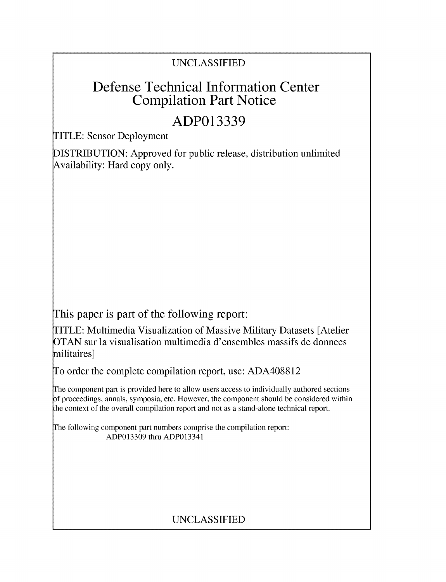## UNCLASSIFIED

# Defense Technical Information Center Compilation Part Notice

# **ADP013339**

TITLE: Sensor Deployment

DISTRIBUTION: Approved for public release, distribution unlimited Availability: Hard copy only.

This paper is part of the following report:

TITLE: Multimedia Visualization of Massive Military Datasets [Atelier OTAN sur la visualisation multimedia d'ensembles massifs de donnees militaires]

To order the complete compilation report, use: ADA408812

The component part is provided here to allow users access to individually authored sections **)f** proceedings, annals, symposia, etc. However, the component should be considered within [he context of the overall compilation report and not as a stand-alone technical report.

The following component part numbers comprise the compilation report: ADP013309 thru ADP013341

## UNCLASSIFIED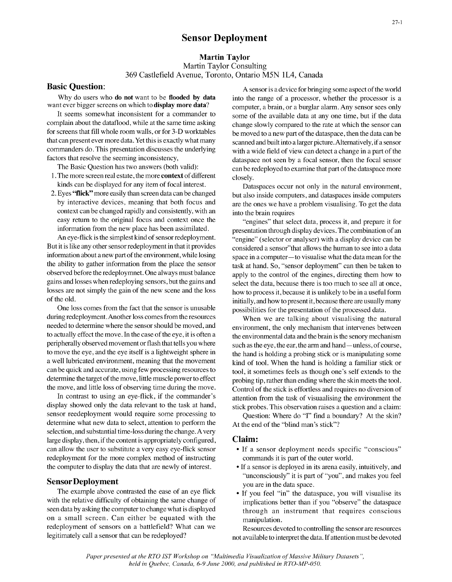### Martin Taylor

Martin Taylor Consulting 369 Castlefield Avenue, Toronto, Ontario M5N 1L4, Canada

- 1. The more screen real estate, the more **context** of different closely.
- context can be changed rapidly and consistently, with an into the brain requires easy return to the original focus and context once the "engines" that select data, process it, and prepare it for

One loss comes from the fact that the sensor is unusable possibilities for the presentation of the processed data. during redeployment. Another loss comes from the resources When we are talking about visualising the natural needed to determine where the sensor should be moved, and environment, the only mechanism that intervenes between

display showed only the data relevant to the task at hand, stick probes. This observation raises a question and a claim: sensor reedeployment would require some processing to Question: Where do "I" find a boundary? At the skin? determine what new data to select, attention to perform the At the end of the "blind man's stick"? selection, and substantial time-loss during the change. A very large display, then, if the content is appropriately configured, Claim: can allow the user to substitute a very easy eye-flick sensor • If a sensor deployment needs specific "conscious" redeployment for the more complex method of instructing commands it is part of the outer world. the computer to display the data that are newly of interest. • If a sensor is deployed in its arena easily, intuitively, and

with the relative difficulty of obtaining the same change of implications better than if you "observe" the dataspace seen data by asking the computer to change what is displayed through an instrument that requires conscious on a small screen. Can either be equated with the manipulation. redeployment of sensors on a battlefield? What can we Resources devoted to controlling the sensor are resources

**Basic Question:** A sensor is a device for bringing some aspect of the world Why do users who do not want to be flooded by data into the range of a processor, whether the processor is a want ever bigger screens on which to **display more data**? computer, a brain, or a burglar alarm. Any sensor sees only It seems somewhat inconsistent for a commander to some of the available data at any one time, but if the data complain about the dataflood, while at the same time asking change slowly compared to the rate at which the sensor can for screens that fill whole room walls, or for 3-D worktables be moved to a new part of the dataspace, then the data can be that can present ever more data. Yet this is exactly what many scanned and built into a larger picture. Alternatively, if a sensor commanders do. This presentation discusses the underlying with a wide field of view can detect a change in a part of the factors that resolve the seeming inconsistency, dataspace not seen by a focal sensor, then the focal sensor The Basic Question has two answers (both valid): can be redeployed to examine that part of the dataspace more

kinds can be displayed for any item of focal interest. Dataspaces occur not only in the natural environment, 2. Eyes "flick" more easily than screen data can be changed but also inside computers, and dataspaces inside computers by interactive devices, meaning that both focus and are the ones we have a problem visualising. To get the data

information from the new place has been assimilated. presentation through display devices. The combination of an An eye-flick is the simplest kind of sensor redeployment. "engine" (selector or analyser) with a display device can be But it is like any other sensor redeployment in that it provides considered a sensor"that allows the human to see into a data information about a new part of the environment, while losing space in a computer- to visualise what the data mean for the the ability to gather information from the place the sensor task at hand. So, "sensor deployment" can then be taken to observed before the redeploymnet. One always must balance apply to the control of the engines, directing them how to gains and losses when redeploying sensors, but the gains and select the data, because there is too much to see all at once, losses are not simply the gain of the new scene and the loss how to process it, because it is unlikely to be in a useful form of the old. initially, and how to present it, because there are usually many

to actually effect the move. In the case of the eye, it is often a the environmental data and the brain is the senory mechanism peripherally observed movement or flash that tells you where such as the eye, the ear, the arm and hand-unless, of course, to move the eye, and the eye itself is a lightweight sphere in the hand is holding a probing stick or is manipulating some a well lubricated environment, meaning that the movement kind of tool. When the hand is holding a familiar stick or can be quick and accurate, using few processing resources to tool, it sometimes feels as though one's self extends to the determine the target of the move, little muscle power to effect probing tip, rather than ending where the skin meets the tool. the move, and little loss of observing time during the move. Control of the stick is effortless and requires no diversion of In contrast to using an eye-flick, if the commander's attention from the task of visuaalising the environment the

- 
- "unconsciously" it is part of "you", and makes you feel Sensor Deployment<br>
you are in the data space.<br>
The example above contrasted the ease of an eye flick • If you feel "in" the dataspace, you will visualise its
	-

legitimately call a sensor that can be redeployed? not available to interpret the data. If attention must be devoted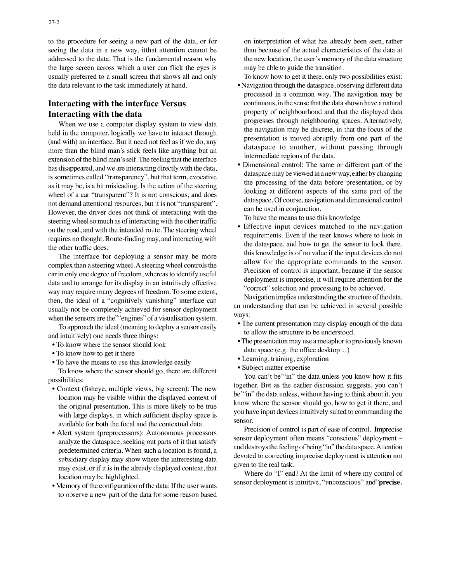to the procedure for seeing a new part of the data, or for on interpretation of what has already been seen, rather seeing the data in a new way, it that attention cannot be than because of the actual characteristics of the data at addressed to the data. That is the fundamental reason why the new location, the user's memory of the data structure the large screen across which a user can flick the eyes is may be able to guide the transition. usually preferred to a small screen that shows all and only To know how to get it there, only two possibilities exist: the data relevant to the task immediately at hand. • Navigation through the dataspace, observing different data

held in the computer, logically we have to interact through the navigation may be discrete, in that the focus of the presentation is moved abruptly from one part of the food with and not feel as if we do any (and with) an interface. But it need not feel as if we do, any presentation is moved abruptly from one part of the<br>dataspace to another, without passing through more than the blind man's stick feels like anything but an dataspace to another, without passing the blind man's stick The factor of the data intermediate regions of the data. extension of the blind man's self. The feeling that the interface intermediate regions of the data.<br>
• Dimensional control: The same or different part of the has disappeared, and we are interacting directly with the data,<br>is sometimes colled "transparency" but that term expective dataspace may be viewed in a new way, either by changing is sometimes called "transparency", but that term, evocative dataspace may be viewed in a new way, either by changing<br>the processing of the data before presentation, or by as it may be, is a bit misleading. Is the action of the steering the processing of the data before presentation, or by<br>uphed of a constitution of the steering the processing of the data before presentation, or by wheel of a car "transparent"? It is not conscious, and does looking at different aspects of the same part of the same part of the net demand attentional resources but it is not "transparent" not demand attentional resources, but it is not "transparent". dataspace. Of course, navigation and dimensional control control course, navigation control control control control control control control control control con However, the driver does not think of interacting with the can be used in conjunction.<br>To have the means to use this knowledge steering wheel so much as of interacting with the other traffic **To have the means to use this knowledge**<br>
• Effective input devices matched to the navigation on the road, and with the intended route. The steering wheel **Effective input devices matched to the navigation**<br>requirements. Even if the user knows where to look in requires no thought. Route-finding may, and interacting with the dataspace, and how to get the sensor to look there, the other traffic does.

complex than a steering wheel. A steering wheel controls the allow for the appropriate commands to the sensor.<br>
equip only one docume of freedom whereas to identify useful. Precision of control is important, because if the car in only one degree of freedom, whereas to identify useful<br>deployment is imprecise, it will require attention for the<br>deta and to errors for its display in an intuitivaly offective data and to arrange for its display in an intuitively effective deployment is imprecise, it will require attention for the correct of the correct of the correct of the correct of the correct of the correct of the correct o way may require many degrees of freedom. To some extent,<br>then the ideal of a "correctively variables" interface can Navigation implies understanding the structure of the data, then, the ideal of a "cognitively vanishing" interface can<br>
numerical understanding that can be achieved in several possible<br>
numerical understanding that can be achieved in several possible usually not be completely achieved for sensor deployment an understanding that can be achieved in several possible that can be achieved in several possible  $\frac{1}{2}$  ways: when the sensors are the ""engines" of a visualisation system.<br>The current presentation may display enough of the data

To approach the ideal (meaning to deploy a sensor easily  $\bullet$  The current presentation may display enough the data and the data at the data at the data at the data at the data at the data at the data at the data at the dat and intuitively) one needs three things:

- 
- 
- To have the means to use this knowledge easily **•** Learning, training, exploration **•** Subject matter expertise

To know where the sensor should go, there are different

- with large displays, in which sufficient display space is  $\frac{y_{\text{out}}}{\text{sensor}}$ available for both the focal and the contextual data.
- $\frac{1}{2}$  exist, or if it is in the already displayed context, that given to the real task.
- $\bullet$  Memory of the configuration of the data: If the user wants to observe a new part of the data for some reason based

- processed in a common way. The navigation may be Interacting with the interface Versus continuous, in the sense that the data shown have a natural Interacting with the data property of neighbourhood and that the displayed data<br>
When we use a computer display custom to view data progresses through neighbouring spaces. Alternatively, When we use a computer display system to view data progresses unough neighbouring spaces. Alternatively,<br>the navigation may be discrete, in that the focus of the
	-

The interface for deploying a sensor may be more this knowledge is of no value if the input devices do not

- 
- To know where the sensor should look The presentaiton may use a metaphor to previously known • To know where the sensor should rook data space (e.g. the office desktop...)<br>• To know how to get it there **Learning**, training, exploration
	-
	-

Possibilities:<br>possibilities:<br>Contant (fishesse multiple views his agreem). The new together. But as the earlier discussion suggests, you can't • Context (fisheye, multiple views, big screen): The new together. But as the earlier discussion suggests, you can't location may be visible within the displayed context of better be the data unless, without having to think about it, you the original presentation. This is more likely to be true know where the sensor should go, how to get it there, and<br>you have input devices intuitively suited to commanding the

• Alert system (preprocessors): Autonomous processors Precision of control is part of ease of control. Imprecise analyze the dataspace, seeking out parts of it that satisfy sensor deployment often means "conscious" deployment predetermined criteria. When such a location is found, a and destroys the feeling of being "in" the data space. Attention predetermined criteria. subsidiary display may show where the intreresting data devoted to correcting imprecise deployment is attention not

location may be highlighted.<br>Memory of the configuration of the date: If the user wents<br>Memory of the configuration of the date: If the user wents<br>Memory of the configuration of the date: If the user wents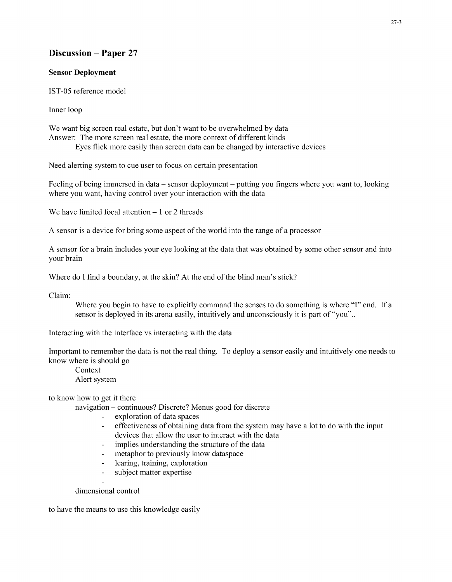## Discussion - Paper 27

### Sensor Deployment

IST-05 reference model

Inner loop

We want big screen real estate, but don't want to be overwhelmed by data Answer: The more screen real estate, the more context of different kinds Eyes flick more easily than screen data can be changed by interactive devices

Need alerting system to cue user to focus on certain presentation

Feeling of being immersed in data – sensor deployment – putting you fingers where you want to, looking where you want, having control over your interaction with the data

We have limited focal attention  $-1$  or 2 threads

"A sensor is a device for bring some aspect of the world into the range of a processor

"A sensor for a brain includes your eye looking at the data that was obtained by some other sensor and into your brain

Where do I find a boundary, at the skin? At the end of the blind man's stick?

Claim:

Where you begin to have to explicitly command the senses to do something is where **"I"** end. If a sensor is deployed in its arena easily, intuitively and unconsciously it is part of "you"..

Interacting with the interface vs interacting with the data

Important to remember the data is not the real thing. To deploy a sensor easily and intuitively one needs to know where is should go

Context Alert system

to know how to get it there

navigation - continuous? Discrete? Menus good for discrete

- **-** exploration of data spaces
- **-** effectiveness of obtaining data from the system may have a lot to do with the input devices that allow the user to interact with the data
- **-** implies understanding the structure of the data
- **-** metaphor to previously know dataspace
- **-** learing, training, exploration
- **-** subject matter expertise
- 

dimensional control

to have the means to use this knowledge easily